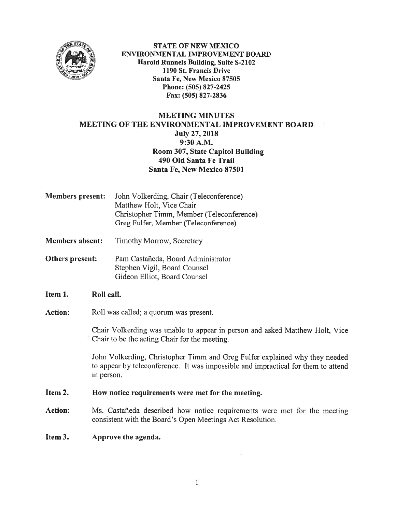

STATE OF NEW MEXICO ENVIRONMENTAL IMPROVEMENT BOARD harold Runnels Building, Suite S-2102 1190 St. Francis Drive Santa Fe, New Mexico 87505 Phone: (505) 827-2425 fax: (505) 827-2836

## MEETING MINUTES MEETING OF THE ENVIRONMENTAL IMPROVEMENT BOARD July 27, 2018 9:30 A.M. Room 307, State Capitol Building 490 Old Santa Fe Trail Santa Fe, New Mexico 87501

- Members present: John Volkerding, Chair (Teleconference) Matthew Holt, Vice Chair Christopher Timrn, Member (Teleconference) Greg Fulfer, Member (Teleconference)
- Members absent: Timothy Morrow, Secretary
- Others present: Pam Castañeda, Board Administrator Stephen Vigil. Board Counsel Gideon Elliot, Board Counsel
- Item 1. Roll call.
- Action: Roll was called; a quorum was present.

Chair Volkerding was unable to appear in person and asked Matthew Holt, Vice Chair to be the acting Chair for the meeting.

John Volkerding, Christopher Tirnm and Greg Fulfer explained why they needed to appear by teleconference. It was impossible and impractical for them to attend in person.

Item 2. How notice requirements were met for the meeting.

- Action: Ms. Castañeda described how notice requirements were met for the meeting consistent with the Board's Open Meetings Act Resolution.
- Item 3. Approve the agenda.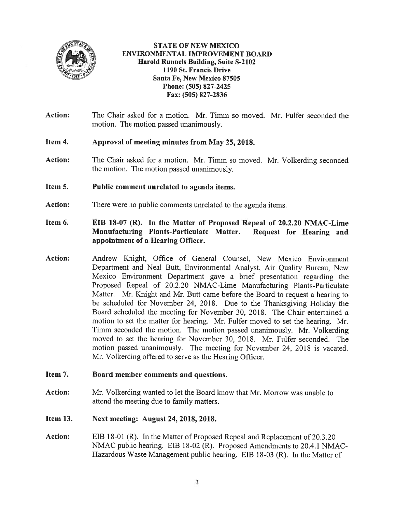

STATE Of NEW MEXICO ENVIRONMENTAL IMPROVEMENT BOARD Harold Runnels Building, Suite S-2102 1190 St. Francis Drive Santa Fe, New Mexico \$7505 Phone: (505) 827-2425 Fax: (505) 827-2836

- Action: The Chair asked for a motion. Mr. Timm so moved. Mr. Fulfer seconded the motion. The motion passed unanimously.
- Item 4. Approval of meeting minutes from May 25, 2018.
- Action: The Chair asked for a motion. Mr. Timm so moved. Mr. Volkerding seconded the motion. The motion passed unanimously.
- Item 5. Public comment unrelated to agenda items.
- Action: There were no public comments unrelated to the agenda items.
- Item 6. EIB 18-07 (R). In the Matter of Proposed Repeal of 20.2.20 NMAC-Lime Manufacturing Plants-Particulate Matter. Request for Hearing and appointment of <sup>a</sup> Hearing Officer.
- Action: Andrew Knight, Office of General Counsel, New Mexico Environment Department and Neal Butt, Environmental Analyst, Air Quality Bureau, New Mexico Environment Department gave <sup>a</sup> brief presentation regarding the Proposed Repeal of 20.2.20 NMAC-Lirne Manufacturing Plants-Particulate Matter. Mr. Knight and Mr. Butt came before the Board to reques<sup>t</sup> <sup>a</sup> hearing to be scheduled for November 24, 2018. Due to the Thanksgiving Holiday the Board scheduled the meeting for November 30, 201\$. The Chair entertained <sup>a</sup> motion to set the matter for hearing. Mr. Fulfer moved to set the hearing. Mr. Timm seconded the motion. The motion passed unanimously. Mr. Volkerding moved to set the hearing for November 30, 2018. Mr. Fulfer seconded. The motion passed unanimously. The meeting for November 24, 2018 is vacated. Mr. Volkerding offered to serve as the Hearing Officer.
- Item 7. Board member comments and questions.
- Action: Mr. Volkerding wanted to let the Board know that Mr. Morrow was unable to attend the meeting due to family matters.
- Item 13. Next meeting: August 24, 2018, 2018.
- Action: EIB 18-01 (R). In the Matter of Proposed Repeal and Replacement of 20.3.20 NMAC public hearing. EIB 18-02 (R). Proposed Amendments to 20.4.1 NMAC Hazardous Waste Management public hearing. EIB 18-03 (R). In the Matter of